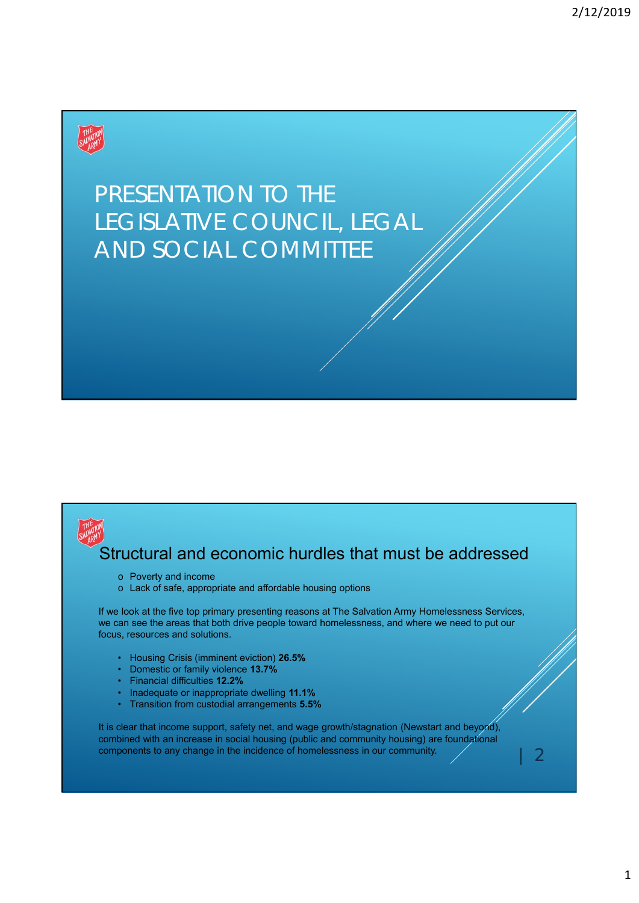

# PRESENTATION TO THE LEGISLATIVE COUNCIL, LEGAL AND SOCIAL COMMITTEE



### Structural and economic hurdles that must be addressed

- o Poverty and income
- o Lack of safe, appropriate and affordable housing options

If we look at the five top primary presenting reasons at The Salvation Army Homelessness Services, we can see the areas that both drive people toward homelessness, and where we need to put our focus, resources and solutions.

- Housing Crisis (imminent eviction) **26.5%**
- Domestic or family violence **13.7%**
- Financial difficulties **12.2%**
- Inadequate or inappropriate dwelling **11.1%**
- Transition from custodial arrangements **5.5%**

It is clear that income support, safety net, and wage growth/stagnation (Newstart and beyond), combined with an increase in social housing (public and community housing) are foundational components to any change in the incidence of homelessness in our community.

| 2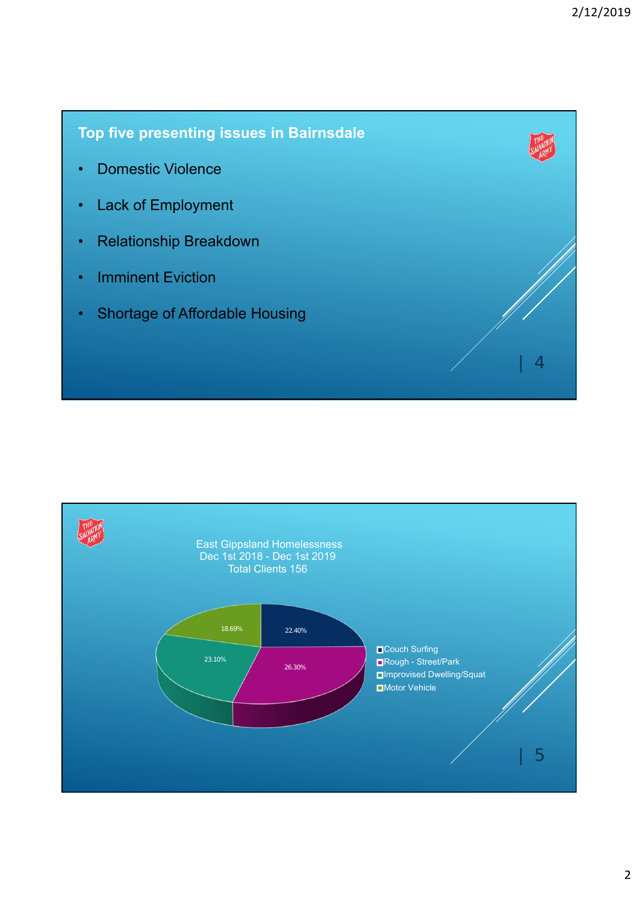**Top five presenting issues in Bairnsdale** • Domestic Violence • Lack of Employment • Relationship Breakdown • Imminent Eviction • Shortage of Affordable Housing  $\overline{4}$ 

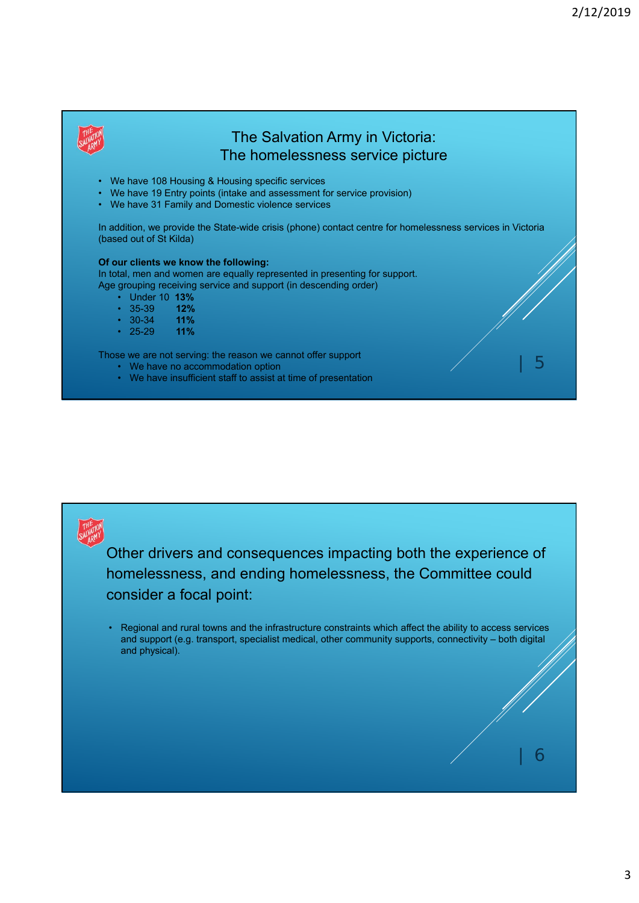| 5

| 6



### The Salvation Army in Victoria: The homelessness service picture

- We have 108 Housing & Housing specific services
- We have 19 Entry points (intake and assessment for service provision)
- We have 31 Family and Domestic violence services

In addition, we provide the State-wide crisis (phone) contact centre for homelessness services in Victoria (based out of St Kilda)

#### **Of our clients we know the following:**

In total, men and women are equally represented in presenting for support. Age grouping receiving service and support (in descending order)

- - Under 10 **13%**
	- 35-39 **12%**
	- 30-34 **11%**
	- 25-29 **11%**

Those we are not serving: the reason we cannot offer support

- We have no accommodation option
- We have insufficient staff to assist at time of presentation



Other drivers and consequences impacting both the experience of homelessness, and ending homelessness, the Committee could consider a focal point:

• Regional and rural towns and the infrastructure constraints which affect the ability to access services and support (e.g. transport, specialist medical, other community supports, connectivity – both digital and physical).